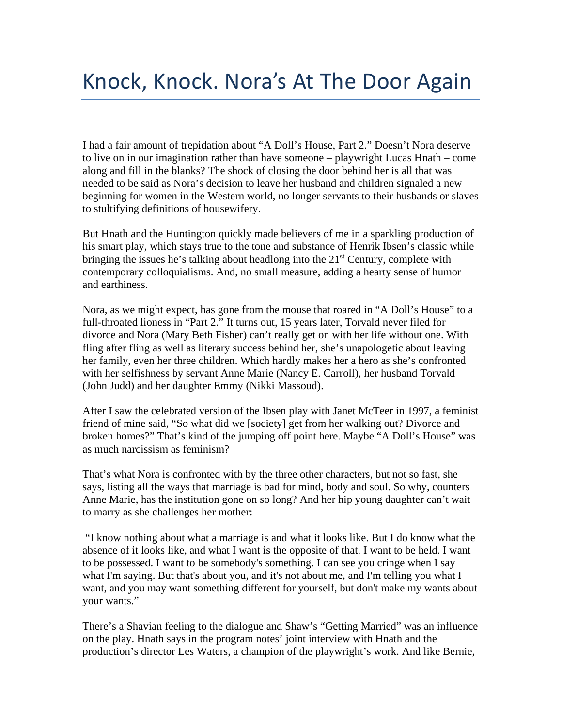I had a fair amount of trepidation about "A Doll's House, Part 2." Doesn't Nora deserve to live on in our imagination rather than have someone – playwright Lucas Hnath – come along and fill in the blanks? The shock of closing the door behind her is all that was needed to be said as Nora's decision to leave her husband and children signaled a new beginning for women in the Western world, no longer servants to their husbands or slaves to stultifying definitions of housewifery.

But Hnath and the Huntington quickly made believers of me in a sparkling production of his smart play, which stays true to the tone and substance of Henrik Ibsen's classic while bringing the issues he's talking about headlong into the  $21<sup>st</sup>$  Century, complete with contemporary colloquialisms. And, no small measure, adding a hearty sense of humor and earthiness.

Nora, as we might expect, has gone from the mouse that roared in "A Doll's House" to a full-throated lioness in "Part 2." It turns out, 15 years later, Torvald never filed for divorce and Nora (Mary Beth Fisher) can't really get on with her life without one. With fling after fling as well as literary success behind her, she's unapologetic about leaving her family, even her three children. Which hardly makes her a hero as she's confronted with her selfishness by servant Anne Marie (Nancy E. Carroll), her husband Torvald (John Judd) and her daughter Emmy (Nikki Massoud).

After I saw the celebrated version of the Ibsen play with Janet McTeer in 1997, a feminist friend of mine said, "So what did we [society] get from her walking out? Divorce and broken homes?" That's kind of the jumping off point here. Maybe "A Doll's House" was as much narcissism as feminism?

That's what Nora is confronted with by the three other characters, but not so fast, she says, listing all the ways that marriage is bad for mind, body and soul. So why, counters Anne Marie, has the institution gone on so long? And her hip young daughter can't wait to marry as she challenges her mother:

"I know nothing about what a marriage is and what it looks like. But I do know what the absence of it looks like, and what I want is the opposite of that. I want to be held. I want to be possessed. I want to be somebody's something. I can see you cringe when I say what I'm saying. But that's about you, and it's not about me, and I'm telling you what I want, and you may want something different for yourself, but don't make my wants about your wants."

There's a Shavian feeling to the dialogue and Shaw's "Getting Married" was an influence on the play. Hnath says in the program notes' joint interview with Hnath and the production's director Les Waters, a champion of the playwright's work. And like Bernie,